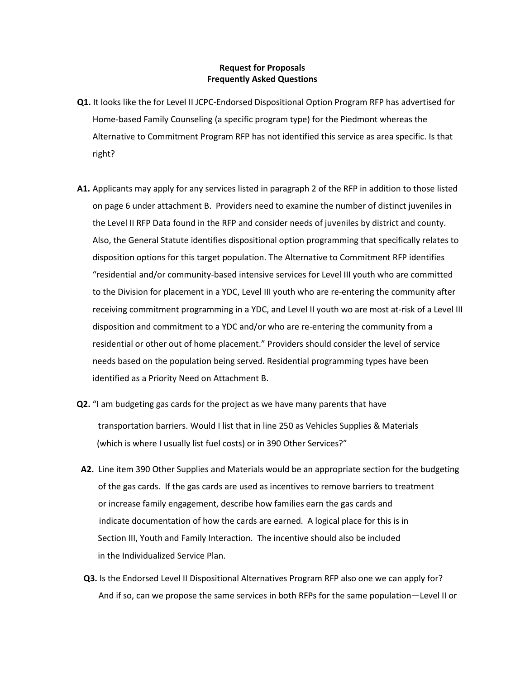## **Request for Proposals Frequently Asked Questions**

- **Q1.** It looks like the for Level II JCPC-Endorsed Dispositional Option Program RFP has advertised for Home-based Family Counseling (a specific program type) for the Piedmont whereas the Alternative to Commitment Program RFP has not identified this service as area specific. Is that right?
- **A1.** Applicants may apply for any services listed in paragraph 2 of the RFP in addition to those listed on page 6 under attachment B. Providers need to examine the number of distinct juveniles in the Level II RFP Data found in the RFP and consider needs of juveniles by district and county. Also, the General Statute identifies dispositional option programming that specifically relates to disposition options for this target population. The Alternative to Commitment RFP identifies "residential and/or community-based intensive services for Level III youth who are committed to the Division for placement in a YDC, Level III youth who are re-entering the community after receiving commitment programming in a YDC, and Level II youth wo are most at-risk of a Level III disposition and commitment to a YDC and/or who are re-entering the community from a residential or other out of home placement." Providers should consider the level of service needs based on the population being served. Residential programming types have been identified as a Priority Need on Attachment B.
- **Q2.** "I am budgeting gas cards for the project as we have many parents that have transportation barriers. Would I list that in line 250 as Vehicles Supplies & Materials (which is where I usually list fuel costs) or in 390 Other Services?"
- **A2.** Line item 390 Other Supplies and Materials would be an appropriate section for the budgeting of the gas cards. If the gas cards are used as incentives to remove barriers to treatment or increase family engagement, describe how families earn the gas cards and indicate documentation of how the cards are earned. A logical place for this is in Section III, Youth and Family Interaction. The incentive should also be included in the Individualized Service Plan.
- **Q3.** Is the Endorsed Level II Dispositional Alternatives Program RFP also one we can apply for? And if so, can we propose the same services in both RFPs for the same population—Level II or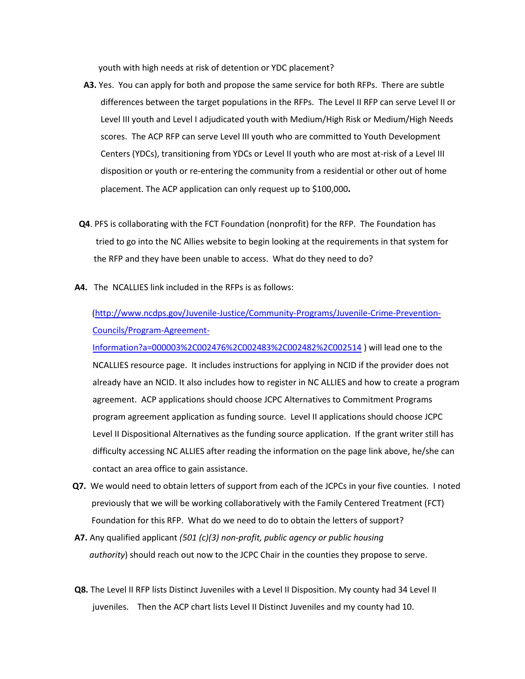youth with high needs at risk of detention or YDC placement?

- **A3.** Yes. You can apply for both and propose the same service for both RFPs. There are subtle differences between the target populations in the RFPs. The Level II RFP can serve Level II or Level III youth and Level I adjudicated youth with Medium/High Risk or Medium/High Needs scores. The ACP RFP can serve Level III youth who are committed to Youth Development Centers (YDCs), transitioning from YDCs or Level II youth who are most at-risk of a Level III disposition or youth or re-entering the community from a residential or other out of home placement. The ACP application can only request up to \$100,000**.**
- **Q4**. PFS is collaborating with the FCT Foundation (nonprofit) for the RFP. The Foundation has tried to go into the NC Allies website to begin looking at the requirements in that system for the RFP and they have been unable to access. What do they need to do?
- **A4.** The NCALLIES link included in the RFPs is as follows:

[\(http://www.ncdps.gov/Juvenile-Justice/Community-Programs/Juvenile-Crime-Prevention-](http://www.ncdps.gov/Juvenile-Justice/Community-Programs/Juvenile-Crime-Prevention-%20Councils/Program-Agreement-Information?a=000003%2C002476%2C002483%2C002482%2C002514)[Councils/Program-Agreement-](http://www.ncdps.gov/Juvenile-Justice/Community-Programs/Juvenile-Crime-Prevention-%20Councils/Program-Agreement-Information?a=000003%2C002476%2C002483%2C002482%2C002514)

[Information?a=000003%2C002476%2C002483%2C002482%2C002514](http://www.ncdps.gov/Juvenile-Justice/Community-Programs/Juvenile-Crime-Prevention-%20Councils/Program-Agreement-Information?a=000003%2C002476%2C002483%2C002482%2C002514) ) will lead one to the NCALLIES resource page. It includes instructions for applying in NCID if the provider does not already have an NCID. It also includes how to register in NC ALLIES and how to create a program agreement. ACP applications should choose JCPC Alternatives to Commitment Programs program agreement application as funding source. Level II applications should choose JCPC Level II Dispositional Alternatives as the funding source application. If the grant writer still has difficulty accessing NC ALLIES after reading the information on the page link above, he/she can contact an area office to gain assistance.

- **Q7.** We would need to obtain letters of support from each of the JCPCs in your five counties. I noted previously that we will be working collaboratively with the Family Centered Treatment (FCT) Foundation for this RFP. What do we need to do to obtain the letters of support?
- **A7.** Any qualified applicant *(501 (c)(3) non-profit, public agency or public housing authority*) should reach out now to the JCPC Chair in the counties they propose to serve.
- **Q8.** The Level II RFP lists Distinct Juveniles with a Level II Disposition. My county had 34 Level II juveniles. Then the ACP chart lists Level II Distinct Juveniles and my county had 10.